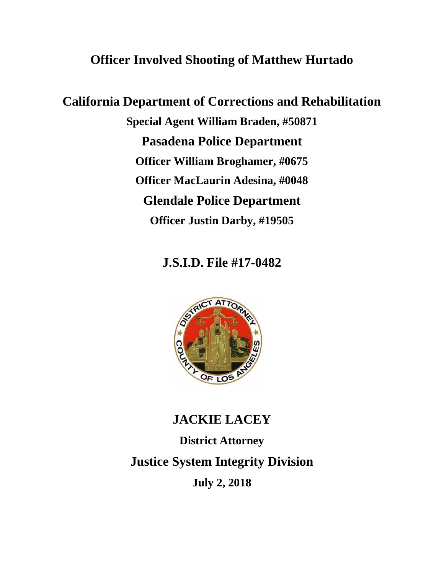# **Officer Involved Shooting of Matthew Hurtado**

**California Department of Corrections and Rehabilitation Special Agent William Braden, #50871 Pasadena Police Department Officer William Broghamer, #0675 Officer MacLaurin Adesina, #0048 Glendale Police Department Officer Justin Darby, #19505**

## **J.S.I.D. File #17-0482**



## **JACKIE LACEY**

**District Attorney Justice System Integrity Division July 2, 2018**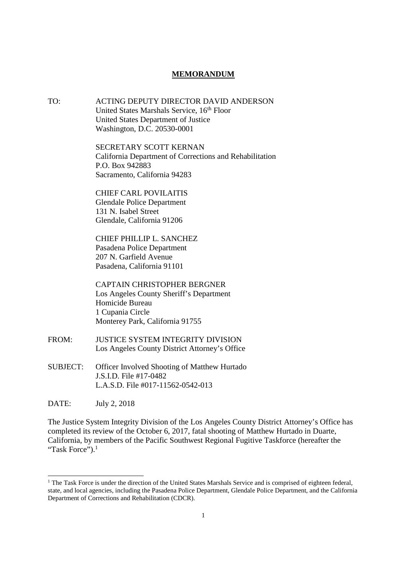#### **MEMORANDUM**

TO: ACTING DEPUTY DIRECTOR DAVID ANDERSON United States Marshals Service, 16<sup>th</sup> Floor United States Department of Justice Washington, D.C. 20530-0001

> SECRETARY SCOTT KERNAN California Department of Corrections and Rehabilitation P.O. Box 942883 Sacramento, California 94283

CHIEF CARL POVILAITIS Glendale Police Department 131 N. Isabel Street Glendale, California 91206

CHIEF PHILLIP L. SANCHEZ Pasadena Police Department 207 N. Garfield Avenue Pasadena, California 91101

CAPTAIN CHRISTOPHER BERGNER Los Angeles County Sheriff's Department Homicide Bureau 1 Cupania Circle Monterey Park, California 91755

- FROM: JUSTICE SYSTEM INTEGRITY DIVISION Los Angeles County District Attorney's Office
- SUBJECT: Officer Involved Shooting of Matthew Hurtado J.S.I.D. File #17-0482 L.A.S.D. File #017-11562-0542-013

DATE: July 2, 2018

The Justice System Integrity Division of the Los Angeles County District Attorney's Office has completed its review of the October 6, 2017, fatal shooting of Matthew Hurtado in Duarte, California, by members of the Pacific Southwest Regional Fugitive Taskforce (hereafter the "Task Force").<sup>1</sup>

<sup>&</sup>lt;sup>1</sup> The Task Force is under the direction of the United States Marshals Service and is comprised of eighteen federal, state, and local agencies, including the Pasadena Police Department, Glendale Police Department, and the California Department of Corrections and Rehabilitation (CDCR).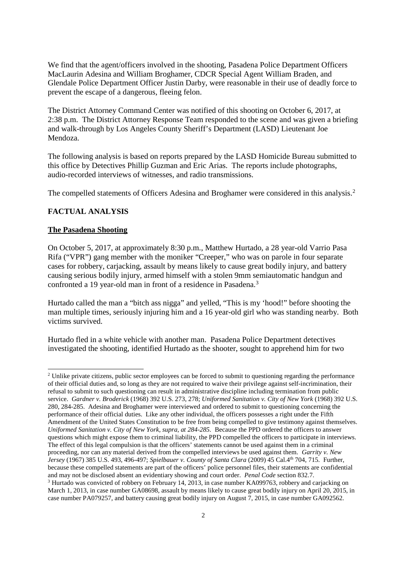We find that the agent/officers involved in the shooting, Pasadena Police Department Officers MacLaurin Adesina and William Broghamer, CDCR Special Agent William Braden, and Glendale Police Department Officer Justin Darby, were reasonable in their use of deadly force to prevent the escape of a dangerous, fleeing felon.

The District Attorney Command Center was notified of this shooting on October 6, 2017, at 2:38 p.m. The District Attorney Response Team responded to the scene and was given a briefing and walk-through by Los Angeles County Sheriff's Department (LASD) Lieutenant Joe Mendoza.

The following analysis is based on reports prepared by the LASD Homicide Bureau submitted to this office by Detectives Phillip Guzman and Eric Arias. The reports include photographs, audio-recorded interviews of witnesses, and radio transmissions.

The compelled statements of Officers Adesina and Broghamer were considered in this analysis.<sup>2</sup>

#### **FACTUAL ANALYSIS**

#### **The Pasadena Shooting**

On October 5, 2017, at approximately 8:30 p.m., Matthew Hurtado, a 28 year-old Varrio Pasa Rifa ("VPR") gang member with the moniker "Creeper," who was on parole in four separate cases for robbery, carjacking, assault by means likely to cause great bodily injury, and battery causing serious bodily injury, armed himself with a stolen 9mm semiautomatic handgun and confronted a 19 year-old man in front of a residence in Pasadena.<sup>3</sup>

Hurtado called the man a "bitch ass nigga" and yelled, "This is my 'hood!" before shooting the man multiple times, seriously injuring him and a 16 year-old girl who was standing nearby. Both victims survived.

Hurtado fled in a white vehicle with another man. Pasadena Police Department detectives investigated the shooting, identified Hurtado as the shooter, sought to apprehend him for two

<sup>&</sup>lt;sup>2</sup> Unlike private citizens, public sector employees can be forced to submit to questioning regarding the performance of their official duties and, so long as they are not required to waive their privilege against self-incrimination, their refusal to submit to such questioning can result in administrative discipline including termination from public service. *Gardner v. Broderick* (1968) 392 U.S. 273, 278; *Uniformed Sanitation v. City of New York* (1968) 392 U.S. 280, 284-285. Adesina and Broghamer were interviewed and ordered to submit to questioning concerning the performance of their official duties. Like any other individual, the officers possesses a right under the Fifth Amendment of the United States Constitution to be free from being compelled to give testimony against themselves. *Uniformed Sanitation v. City of New York, supra, at 284-285.* Because the PPD ordered the officers to answer questions which might expose them to criminal liability, the PPD compelled the officers to participate in interviews. The effect of this legal compulsion is that the officers' statements cannot be used against them in a criminal proceeding, nor can any material derived from the compelled interviews be used against them. *Garrity v. New Jersey* (1967) 385 U.S. 493, 496-497; *Spielbauer v. County of Santa Clara* (2009) 45 Cal.4th 704, 715. Further, because these compelled statements are part of the officers' police personnel files, their statements are confidential and may not be disclosed absent an evidentiary showing and court order. *Penal Code* section 832.7. <sup>3</sup> Hurtado was convicted of robbery on February 14, 2013, in case number KA099763, robbery and carjacking on March 1, 2013, in case number GA08698, assault by means likely to cause great bodily injury on April 20, 2015, in case number PA079257, and battery causing great bodily injury on August 7, 2015, in case number GA092562.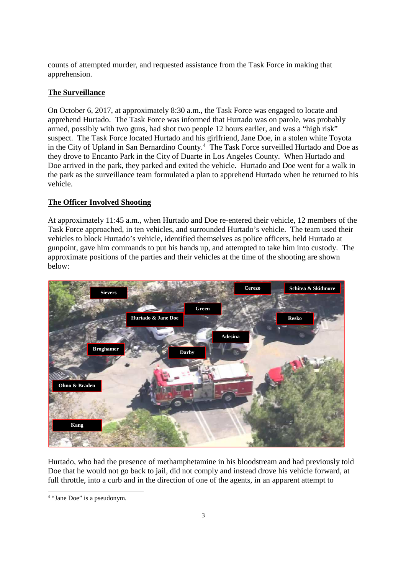counts of attempted murder, and requested assistance from the Task Force in making that apprehension.

### **The Surveillance**

On October 6, 2017, at approximately 8:30 a.m., the Task Force was engaged to locate and apprehend Hurtado. The Task Force was informed that Hurtado was on parole, was probably armed, possibly with two guns, had shot two people 12 hours earlier, and was a "high risk" suspect. The Task Force located Hurtado and his girlfriend, Jane Doe, in a stolen white Toyota in the City of Upland in San Bernardino County.<sup>4</sup> The Task Force surveilled Hurtado and Doe as they drove to Encanto Park in the City of Duarte in Los Angeles County. When Hurtado and Doe arrived in the park, they parked and exited the vehicle. Hurtado and Doe went for a walk in the park as the surveillance team formulated a plan to apprehend Hurtado when he returned to his vehicle.

#### **The Officer Involved Shooting**

At approximately 11:45 a.m., when Hurtado and Doe re-entered their vehicle, 12 members of the Task Force approached, in ten vehicles, and surrounded Hurtado's vehicle. The team used their vehicles to block Hurtado's vehicle, identified themselves as police officers, held Hurtado at gunpoint, gave him commands to put his hands up, and attempted to take him into custody. The approximate positions of the parties and their vehicles at the time of the shooting are shown below:



Hurtado, who had the presence of methamphetamine in his bloodstream and had previously told Doe that he would not go back to jail, did not comply and instead drove his vehicle forward, at full throttle, into a curb and in the direction of one of the agents, in an apparent attempt to

<sup>&</sup>lt;sup>4</sup> "Jane Doe" is a pseudonym.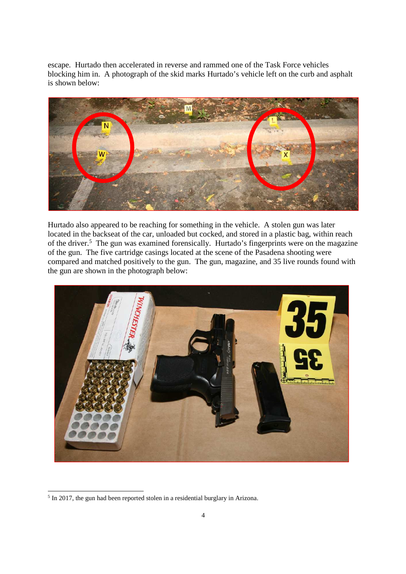escape. Hurtado then accelerated in reverse and rammed one of the Task Force vehicles blocking him in. A photograph of the skid marks Hurtado's vehicle left on the curb and asphalt is shown below:



Hurtado also appeared to be reaching for something in the vehicle. A stolen gun was later located in the backseat of the car, unloaded but cocked, and stored in a plastic bag, within reach of the driver.<sup>5</sup> The gun was examined forensically. Hurtado's fingerprints were on the magazine of the gun. The five cartridge casings located at the scene of the Pasadena shooting were compared and matched positively to the gun. The gun, magazine, and 35 live rounds found with the gun are shown in the photograph below:



<sup>&</sup>lt;sup>5</sup> In 2017, the gun had been reported stolen in a residential burglary in Arizona.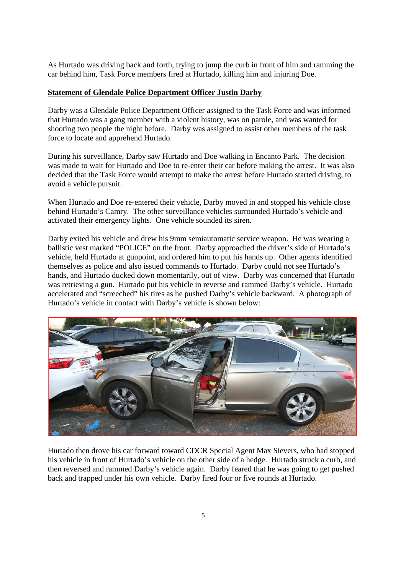As Hurtado was driving back and forth, trying to jump the curb in front of him and ramming the car behind him, Task Force members fired at Hurtado, killing him and injuring Doe.

#### **Statement of Glendale Police Department Officer Justin Darby**

Darby was a Glendale Police Department Officer assigned to the Task Force and was informed that Hurtado was a gang member with a violent history, was on parole, and was wanted for shooting two people the night before. Darby was assigned to assist other members of the task force to locate and apprehend Hurtado.

During his surveillance, Darby saw Hurtado and Doe walking in Encanto Park. The decision was made to wait for Hurtado and Doe to re-enter their car before making the arrest. It was also decided that the Task Force would attempt to make the arrest before Hurtado started driving, to avoid a vehicle pursuit.

When Hurtado and Doe re-entered their vehicle, Darby moved in and stopped his vehicle close behind Hurtado's Camry. The other surveillance vehicles surrounded Hurtado's vehicle and activated their emergency lights. One vehicle sounded its siren.

Darby exited his vehicle and drew his 9mm semiautomatic service weapon. He was wearing a ballistic vest marked "POLICE" on the front. Darby approached the driver's side of Hurtado's vehicle, held Hurtado at gunpoint, and ordered him to put his hands up. Other agents identified themselves as police and also issued commands to Hurtado. Darby could not see Hurtado's hands, and Hurtado ducked down momentarily, out of view. Darby was concerned that Hurtado was retrieving a gun. Hurtado put his vehicle in reverse and rammed Darby's vehicle. Hurtado accelerated and "screeched" his tires as he pushed Darby's vehicle backward. A photograph of Hurtado's vehicle in contact with Darby's vehicle is shown below:



Hurtado then drove his car forward toward CDCR Special Agent Max Sievers, who had stopped his vehicle in front of Hurtado's vehicle on the other side of a hedge. Hurtado struck a curb, and then reversed and rammed Darby's vehicle again. Darby feared that he was going to get pushed back and trapped under his own vehicle. Darby fired four or five rounds at Hurtado.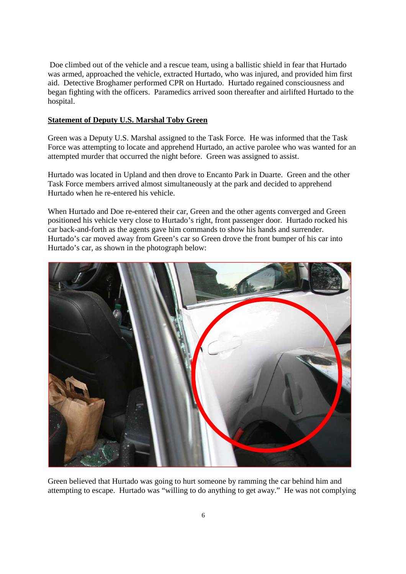Doe climbed out of the vehicle and a rescue team, using a ballistic shield in fear that Hurtado was armed, approached the vehicle, extracted Hurtado, who was injured, and provided him first aid. Detective Broghamer performed CPR on Hurtado. Hurtado regained consciousness and began fighting with the officers. Paramedics arrived soon thereafter and airlifted Hurtado to the hospital.

#### **Statement of Deputy U.S. Marshal Toby Green**

Green was a Deputy U.S. Marshal assigned to the Task Force. He was informed that the Task Force was attempting to locate and apprehend Hurtado, an active parolee who was wanted for an attempted murder that occurred the night before. Green was assigned to assist.

Hurtado was located in Upland and then drove to Encanto Park in Duarte. Green and the other Task Force members arrived almost simultaneously at the park and decided to apprehend Hurtado when he re-entered his vehicle.

When Hurtado and Doe re-entered their car, Green and the other agents converged and Green positioned his vehicle very close to Hurtado's right, front passenger door. Hurtado rocked his car back-and-forth as the agents gave him commands to show his hands and surrender. Hurtado's car moved away from Green's car so Green drove the front bumper of his car into Hurtado's car, as shown in the photograph below:



Green believed that Hurtado was going to hurt someone by ramming the car behind him and attempting to escape. Hurtado was "willing to do anything to get away." He was not complying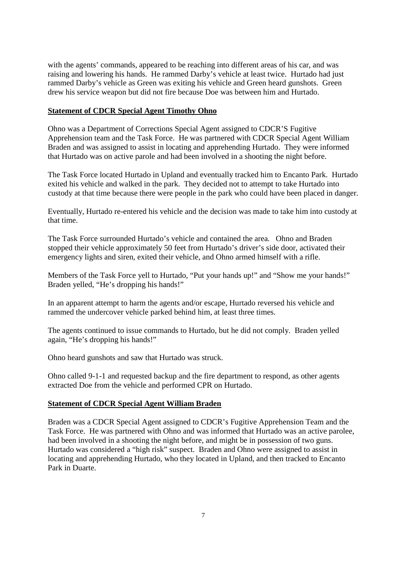with the agents' commands, appeared to be reaching into different areas of his car, and was raising and lowering his hands. He rammed Darby's vehicle at least twice. Hurtado had just rammed Darby's vehicle as Green was exiting his vehicle and Green heard gunshots. Green drew his service weapon but did not fire because Doe was between him and Hurtado.

#### **Statement of CDCR Special Agent Timothy Ohno**

Ohno was a Department of Corrections Special Agent assigned to CDCR'S Fugitive Apprehension team and the Task Force. He was partnered with CDCR Special Agent William Braden and was assigned to assist in locating and apprehending Hurtado. They were informed that Hurtado was on active parole and had been involved in a shooting the night before.

The Task Force located Hurtado in Upland and eventually tracked him to Encanto Park. Hurtado exited his vehicle and walked in the park. They decided not to attempt to take Hurtado into custody at that time because there were people in the park who could have been placed in danger.

Eventually, Hurtado re-entered his vehicle and the decision was made to take him into custody at that time.

The Task Force surrounded Hurtado's vehicle and contained the area. Ohno and Braden stopped their vehicle approximately 50 feet from Hurtado's driver's side door, activated their emergency lights and siren, exited their vehicle, and Ohno armed himself with a rifle.

Members of the Task Force yell to Hurtado, "Put your hands up!" and "Show me your hands!" Braden yelled, "He's dropping his hands!"

In an apparent attempt to harm the agents and/or escape, Hurtado reversed his vehicle and rammed the undercover vehicle parked behind him, at least three times.

The agents continued to issue commands to Hurtado, but he did not comply. Braden yelled again, "He's dropping his hands!"

Ohno heard gunshots and saw that Hurtado was struck.

Ohno called 9-1-1 and requested backup and the fire department to respond, as other agents extracted Doe from the vehicle and performed CPR on Hurtado.

#### **Statement of CDCR Special Agent William Braden**

Braden was a CDCR Special Agent assigned to CDCR's Fugitive Apprehension Team and the Task Force. He was partnered with Ohno and was informed that Hurtado was an active parolee, had been involved in a shooting the night before, and might be in possession of two guns. Hurtado was considered a "high risk" suspect. Braden and Ohno were assigned to assist in locating and apprehending Hurtado, who they located in Upland, and then tracked to Encanto Park in Duarte.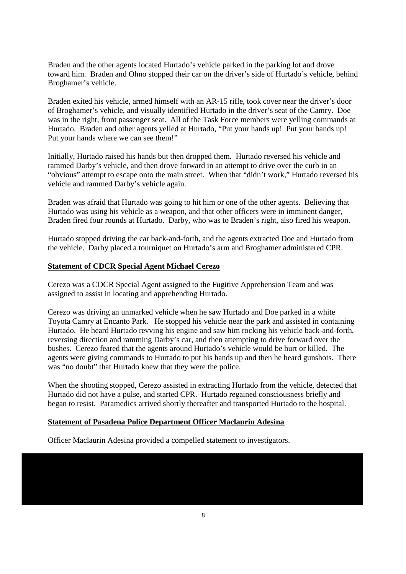Braden and the other agents located Hurtado's vehicle parked in the parking lot and drove toward him. Braden and Ohno stopped their car on the driver's side of Hurtado's vehicle, behind Broghamer's vehicle.

Braden exited his vehicle, armed himself with an AR-15 rifle, took cover near the driver's door of Broghamer's vehicle, and visually identified Hurtado in the driver's seat of the Camry. Doe was in the right, front passenger seat. All of the Task Force members were yelling commands at Hurtado. Braden and other agents yelled at Hurtado, "Put your hands up! Put your hands up! Put your hands where we can see them!"

Initially, Hurtado raised his hands but then dropped them. Hurtado reversed his vehicle and rammed Darby's vehicle, and then drove forward in an attempt to drive over the curb in an "obvious" attempt to escape onto the main street. When that "didn't work," Hurtado reversed his vehicle and rammed Darby's vehicle again.

Braden was afraid that Hurtado was going to hit him or one of the other agents. Believing that Hurtado was using his vehicle as a weapon, and that other officers were in imminent danger, Braden fired four rounds at Hurtado. Darby, who was to Braden's right, also fired his weapon.

Hurtado stopped driving the car back-and-forth, and the agents extracted Doe and Hurtado from the vehicle. Darby placed a tourniquet on Hurtado's arm and Broghamer administered CPR.

#### **Statement of CDCR Special Agent Michael Cerezo**

Cerezo was a CDCR Special Agent assigned to the Fugitive Apprehension Team and was assigned to assist in locating and apprehending Hurtado.

Cerezo was driving an unmarked vehicle when he saw Hurtado and Doe parked in a white Toyota Camry at Encanto Park. He stopped his vehicle near the park and assisted in containing Hurtado. He heard Hurtado revving his engine and saw him rocking his vehicle back-and-forth, reversing direction and ramming Darby's car, and then attempting to drive forward over the bushes. Cerezo feared that the agents around Hurtado's vehicle would be hurt or killed. The agents were giving commands to Hurtado to put his hands up and then he heard gunshots. There was "no doubt" that Hurtado knew that they were the police.

When the shooting stopped, Cerezo assisted in extracting Hurtado from the vehicle, detected that Hurtado did not have a pulse, and started CPR. Hurtado regained consciousness briefly and began to resist. Paramedics arrived shortly thereafter and transported Hurtado to the hospital.

#### **Statement of Pasadena Police Department Officer Maclaurin Adesina**

Officer Maclaurin Adesina provided a compelled statement to investigators.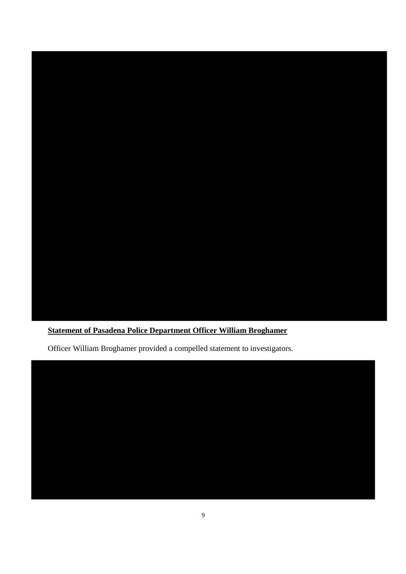

### **Statement of Pasadena Police Department Officer William Broghamer**

Officer William Broghamer provided a compelled statement to investigators.

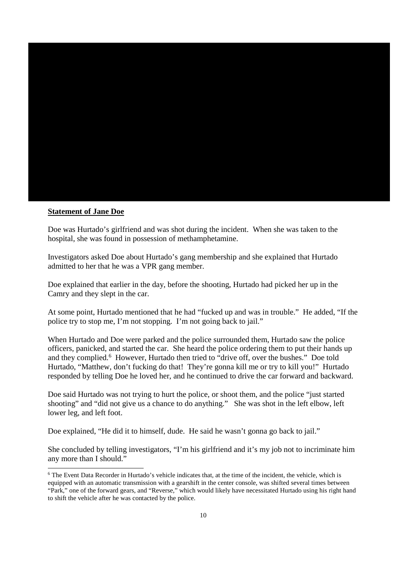

#### **Statement of Jane Doe**

Doe was Hurtado's girlfriend and was shot during the incident. When she was taken to the hospital, she was found in possession of methamphetamine.

Investigators asked Doe about Hurtado's gang membership and she explained that Hurtado admitted to her that he was a VPR gang member.

Doe explained that earlier in the day, before the shooting, Hurtado had picked her up in the Camry and they slept in the car.

At some point, Hurtado mentioned that he had "fucked up and was in trouble." He added, "If the police try to stop me, I'm not stopping. I'm not going back to jail."

When Hurtado and Doe were parked and the police surrounded them, Hurtado saw the police officers, panicked, and started the car. She heard the police ordering them to put their hands up and they complied.<sup>6</sup> However, Hurtado then tried to "drive off, over the bushes." Doe told Hurtado, "Matthew, don't fucking do that! They're gonna kill me or try to kill you!" Hurtado responded by telling Doe he loved her, and he continued to drive the car forward and backward.

Doe said Hurtado was not trying to hurt the police, or shoot them, and the police "just started shooting" and "did not give us a chance to do anything." She was shot in the left elbow, left lower leg, and left foot.

Doe explained, "He did it to himself, dude. He said he wasn't gonna go back to jail."

She concluded by telling investigators, "I'm his girlfriend and it's my job not to incriminate him any more than I should."

<sup>&</sup>lt;sup>6</sup> The Event Data Recorder in Hurtado's vehicle indicates that, at the time of the incident, the vehicle, which is equipped with an automatic transmission with a gearshift in the center console, was shifted several times between "Park," one of the forward gears, and "Reverse," which would likely have necessitated Hurtado using his right hand to shift the vehicle after he was contacted by the police.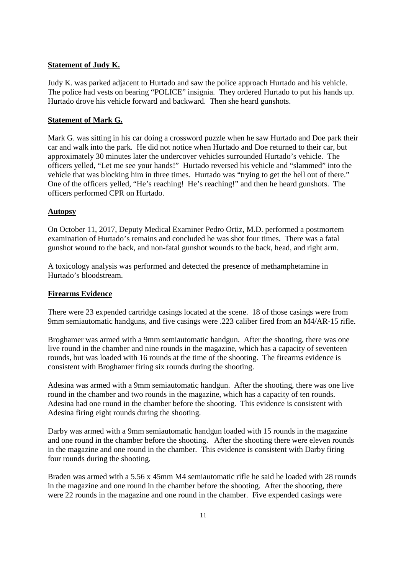#### **Statement of Judy K.**

Judy K. was parked adjacent to Hurtado and saw the police approach Hurtado and his vehicle. The police had vests on bearing "POLICE" insignia. They ordered Hurtado to put his hands up. Hurtado drove his vehicle forward and backward. Then she heard gunshots.

#### **Statement of Mark G.**

Mark G. was sitting in his car doing a crossword puzzle when he saw Hurtado and Doe park their car and walk into the park. He did not notice when Hurtado and Doe returned to their car, but approximately 30 minutes later the undercover vehicles surrounded Hurtado's vehicle. The officers yelled, "Let me see your hands!" Hurtado reversed his vehicle and "slammed" into the vehicle that was blocking him in three times. Hurtado was "trying to get the hell out of there." One of the officers yelled, "He's reaching! He's reaching!" and then he heard gunshots. The officers performed CPR on Hurtado.

#### **Autopsy**

On October 11, 2017, Deputy Medical Examiner Pedro Ortiz, M.D. performed a postmortem examination of Hurtado's remains and concluded he was shot four times. There was a fatal gunshot wound to the back, and non-fatal gunshot wounds to the back, head, and right arm.

A toxicology analysis was performed and detected the presence of methamphetamine in Hurtado's bloodstream.

#### **Firearms Evidence**

There were 23 expended cartridge casings located at the scene. 18 of those casings were from 9mm semiautomatic handguns, and five casings were .223 caliber fired from an M4/AR-15 rifle.

Broghamer was armed with a 9mm semiautomatic handgun. After the shooting, there was one live round in the chamber and nine rounds in the magazine, which has a capacity of seventeen rounds, but was loaded with 16 rounds at the time of the shooting. The firearms evidence is consistent with Broghamer firing six rounds during the shooting.

Adesina was armed with a 9mm semiautomatic handgun. After the shooting, there was one live round in the chamber and two rounds in the magazine, which has a capacity of ten rounds. Adesina had one round in the chamber before the shooting. This evidence is consistent with Adesina firing eight rounds during the shooting.

Darby was armed with a 9mm semiautomatic handgun loaded with 15 rounds in the magazine and one round in the chamber before the shooting. After the shooting there were eleven rounds in the magazine and one round in the chamber. This evidence is consistent with Darby firing four rounds during the shooting.

Braden was armed with a 5.56 x 45mm M4 semiautomatic rifle he said he loaded with 28 rounds in the magazine and one round in the chamber before the shooting. After the shooting, there were 22 rounds in the magazine and one round in the chamber. Five expended casings were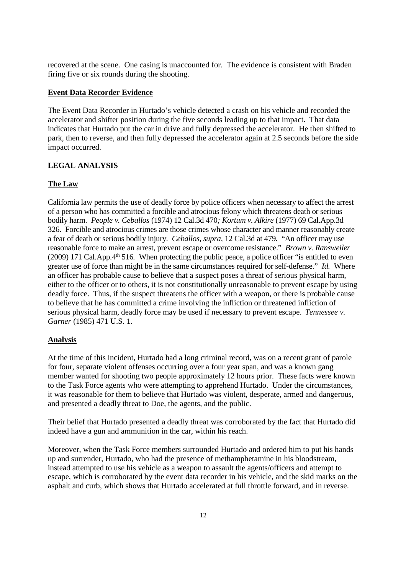recovered at the scene. One casing is unaccounted for. The evidence is consistent with Braden firing five or six rounds during the shooting.

#### **Event Data Recorder Evidence**

The Event Data Recorder in Hurtado's vehicle detected a crash on his vehicle and recorded the accelerator and shifter position during the five seconds leading up to that impact. That data indicates that Hurtado put the car in drive and fully depressed the accelerator. He then shifted to park, then to reverse, and then fully depressed the accelerator again at 2.5 seconds before the side impact occurred.

#### **LEGAL ANALYSIS**

#### **The Law**

California law permits the use of deadly force by police officers when necessary to affect the arrest of a person who has committed a forcible and atrocious felony which threatens death or serious bodily harm. *People v. Ceballos* (1974) 12 Cal.3d 470*; Kortum v. Alkire* (1977) 69 Cal.App.3d 326. Forcible and atrocious crimes are those crimes whose character and manner reasonably create a fear of death or serious bodily injury. *Ceballos, supra,* 12 Cal.3d at 479*.* "An officer may use reasonable force to make an arrest, prevent escape or overcome resistance." *Brown v. Ransweiler* (2009) 171 Cal.App.<sup>4th</sup> 516. When protecting the public peace, a police officer "is entitled to even greater use of force than might be in the same circumstances required for self-defense." *Id.* Where an officer has probable cause to believe that a suspect poses a threat of serious physical harm, either to the officer or to others, it is not constitutionally unreasonable to prevent escape by using deadly force. Thus, if the suspect threatens the officer with a weapon, or there is probable cause to believe that he has committed a crime involving the infliction or threatened infliction of serious physical harm, deadly force may be used if necessary to prevent escape. *Tennessee v. Garner* (1985) 471 U.S. 1.

#### **Analysis**

At the time of this incident, Hurtado had a long criminal record, was on a recent grant of parole for four, separate violent offenses occurring over a four year span, and was a known gang member wanted for shooting two people approximately 12 hours prior. These facts were known to the Task Force agents who were attempting to apprehend Hurtado. Under the circumstances, it was reasonable for them to believe that Hurtado was violent, desperate, armed and dangerous, and presented a deadly threat to Doe, the agents, and the public.

Their belief that Hurtado presented a deadly threat was corroborated by the fact that Hurtado did indeed have a gun and ammunition in the car, within his reach.

Moreover, when the Task Force members surrounded Hurtado and ordered him to put his hands up and surrender, Hurtado, who had the presence of methamphetamine in his bloodstream, instead attempted to use his vehicle as a weapon to assault the agents/officers and attempt to escape, which is corroborated by the event data recorder in his vehicle, and the skid marks on the asphalt and curb, which shows that Hurtado accelerated at full throttle forward, and in reverse.